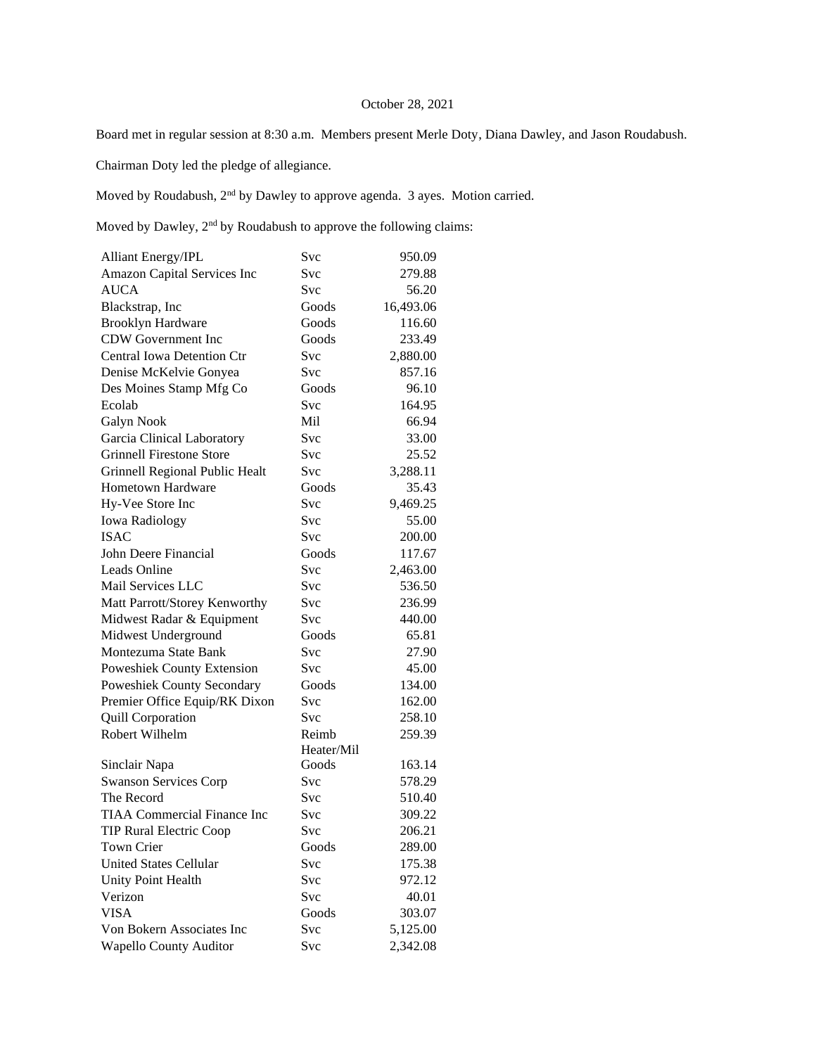## October 28, 2021

Board met in regular session at 8:30 a.m. Members present Merle Doty, Diana Dawley, and Jason Roudabush.

Chairman Doty led the pledge of allegiance.

Moved by Roudabush, 2nd by Dawley to approve agenda. 3 ayes. Motion carried.

Moved by Dawley, 2nd by Roudabush to approve the following claims:

| <b>Alliant Energy/IPL</b>          | Svc        | 950.09    |
|------------------------------------|------------|-----------|
| Amazon Capital Services Inc        | Svc        | 279.88    |
| <b>AUCA</b>                        | Svc        | 56.20     |
| Blackstrap, Inc                    | Goods      | 16,493.06 |
| <b>Brooklyn Hardware</b>           | Goods      | 116.60    |
| <b>CDW</b> Government Inc          | Goods      | 233.49    |
| <b>Central Iowa Detention Ctr</b>  | Svc        | 2,880.00  |
| Denise McKelvie Gonyea             | Svc        | 857.16    |
| Des Moines Stamp Mfg Co            | Goods      | 96.10     |
| Ecolab                             | Svc        | 164.95    |
| Galyn Nook                         | Mil        | 66.94     |
| Garcia Clinical Laboratory         | Svc        | 33.00     |
| <b>Grinnell Firestone Store</b>    | Svc        | 25.52     |
| Grinnell Regional Public Healt     | <b>Svc</b> | 3,288.11  |
| <b>Hometown Hardware</b>           | Goods      | 35.43     |
| Hy-Vee Store Inc                   | Svc        | 9,469.25  |
| <b>Iowa Radiology</b>              | Svc        | 55.00     |
| <b>ISAC</b>                        | Svc        | 200.00    |
| John Deere Financial               | Goods      | 117.67    |
| <b>Leads Online</b>                | Svc        | 2,463.00  |
| Mail Services LLC                  | Svc        | 536.50    |
| Matt Parrott/Storey Kenworthy      | Svc        | 236.99    |
| Midwest Radar & Equipment          | Svc        | 440.00    |
| Midwest Underground                | Goods      | 65.81     |
| Montezuma State Bank               | Svc        | 27.90     |
| Poweshiek County Extension         | Svc        | 45.00     |
| Poweshiek County Secondary         | Goods      | 134.00    |
| Premier Office Equip/RK Dixon      | Svc        | 162.00    |
| <b>Quill Corporation</b>           | Svc        | 258.10    |
| Robert Wilhelm                     | Reimb      | 259.39    |
|                                    | Heater/Mil |           |
| Sinclair Napa                      | Goods      | 163.14    |
| <b>Swanson Services Corp</b>       | Svc        | 578.29    |
| The Record                         | Svc        | 510.40    |
| <b>TIAA Commercial Finance Inc</b> | Svc        | 309.22    |
| <b>TIP Rural Electric Coop</b>     | Svc        | 206.21    |
| Town Crier                         | Goods      | 289.00    |
| <b>United States Cellular</b>      | Svc        | 175.38    |
| Unity Point Health                 | Svc        | 972.12    |
| Verizon                            | Svc        | 40.01     |
| <b>VISA</b>                        | Goods      | 303.07    |
| Von Bokern Associates Inc          | Svc        | 5,125.00  |
| <b>Wapello County Auditor</b>      | Svc        | 2,342.08  |